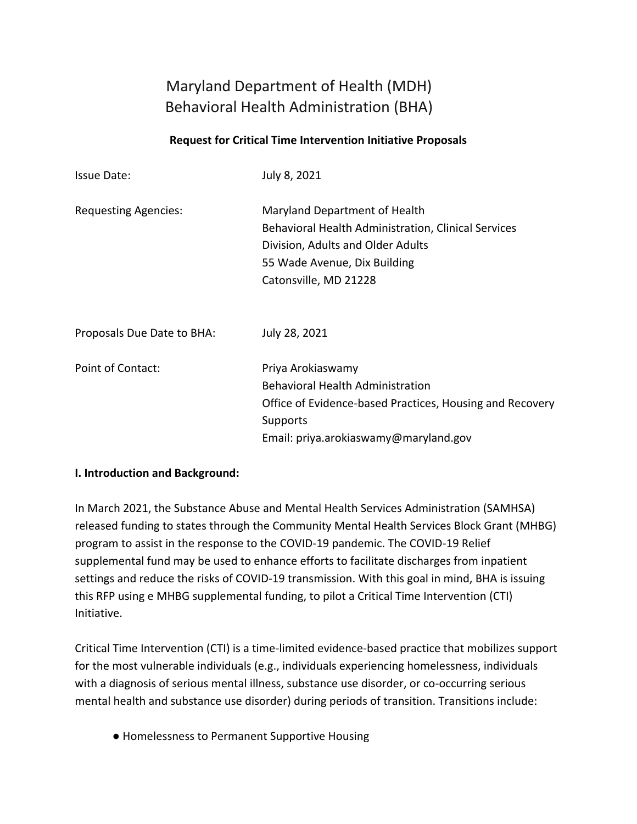# Maryland Department of Health (MDH) Behavioral Health Administration (BHA)

#### **Request for Critical Time Intervention Initiative Proposals**

| Issue Date:                 | July 8, 2021                                                                                                                                                                       |
|-----------------------------|------------------------------------------------------------------------------------------------------------------------------------------------------------------------------------|
| <b>Requesting Agencies:</b> | Maryland Department of Health<br>Behavioral Health Administration, Clinical Services<br>Division, Adults and Older Adults<br>55 Wade Avenue, Dix Building<br>Catonsville, MD 21228 |
| Proposals Due Date to BHA:  | July 28, 2021                                                                                                                                                                      |
| Point of Contact:           | Priya Arokiaswamy<br><b>Behavioral Health Administration</b><br>Office of Evidence-based Practices, Housing and Recovery<br>Supports<br>Email: priya.arokiaswamy@maryland.gov      |

#### **I. Introduction and Background:**

In March 2021, the Substance Abuse and Mental Health Services Administration (SAMHSA) released funding to states through the Community Mental Health Services Block Grant (MHBG) program to assist in the response to the COVID-19 pandemic. The COVID-19 Relief supplemental fund may be used to enhance efforts to facilitate discharges from inpatient settings and reduce the risks of COVID-19 transmission. With this goal in mind, BHA is issuing this RFP using e MHBG supplemental funding, to pilot a Critical Time Intervention (CTI) Initiative.

Critical Time Intervention (CTI) is a time-limited evidence-based practice that mobilizes support for the most vulnerable individuals (e.g., individuals experiencing homelessness, individuals with a diagnosis of serious mental illness, substance use disorder, or co-occurring serious mental health and substance use disorder) during periods of transition. Transitions include:

● Homelessness to Permanent Supportive Housing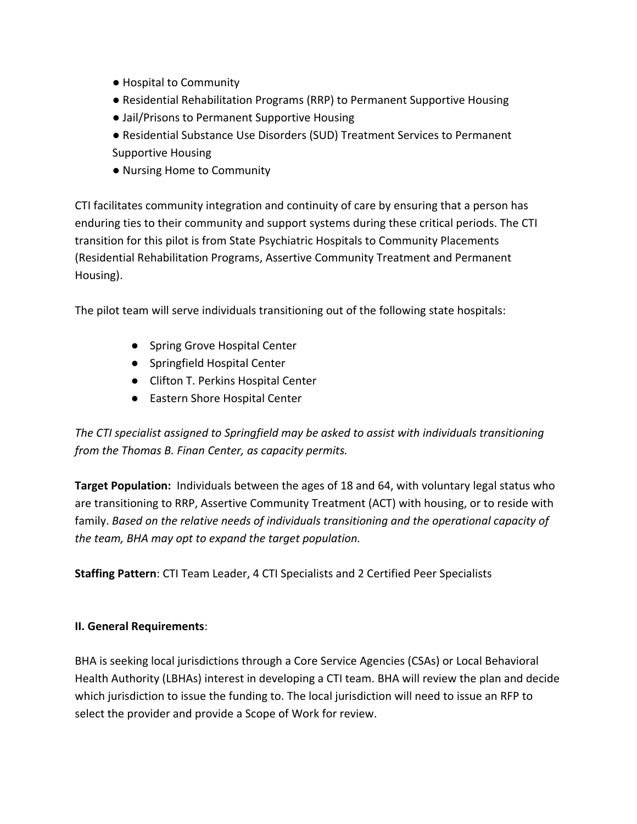- Hospital to Community
- Residential Rehabilitation Programs (RRP) to Permanent Supportive Housing
- Jail/Prisons to Permanent Supportive Housing
- Residential Substance Use Disorders (SUD) Treatment Services to Permanent
- Supportive Housing
- Nursing Home to Community

CTI facilitates community integration and continuity of care by ensuring that a person has enduring ties to their community and support systems during these critical periods. The CTI transition for this pilot is from State Psychiatric Hospitals to Community Placements (Residential Rehabilitation Programs, Assertive Community Treatment and Permanent Housing).

The pilot team will serve individuals transitioning out of the following state hospitals:

- Spring Grove Hospital Center
- Springfield Hospital Center
- Clifton T. Perkins Hospital Center
- Eastern Shore Hospital Center

*The CTI specialist assigned to Springfield may be asked to assist with individuals transitioning from the Thomas B. Finan Center, as capacity permits.* 

**Target Population:** Individuals between the ages of 18 and 64, with voluntary legal status who are transitioning to RRP, Assertive Community Treatment (ACT) with housing, or to reside with family. *Based on the relative needs of individuals transitioning and the operational capacity of the team, BHA may opt to expand the target population.* 

**Staffing Pattern**: CTI Team Leader, 4 CTI Specialists and 2 Certified Peer Specialists

### **II. General Requirements**:

BHA is seeking local jurisdictions through a Core Service Agencies (CSAs) or Local Behavioral Health Authority (LBHAs) interest in developing a CTI team. BHA will review the plan and decide which jurisdiction to issue the funding to. The local jurisdiction will need to issue an RFP to select the provider and provide a Scope of Work for review.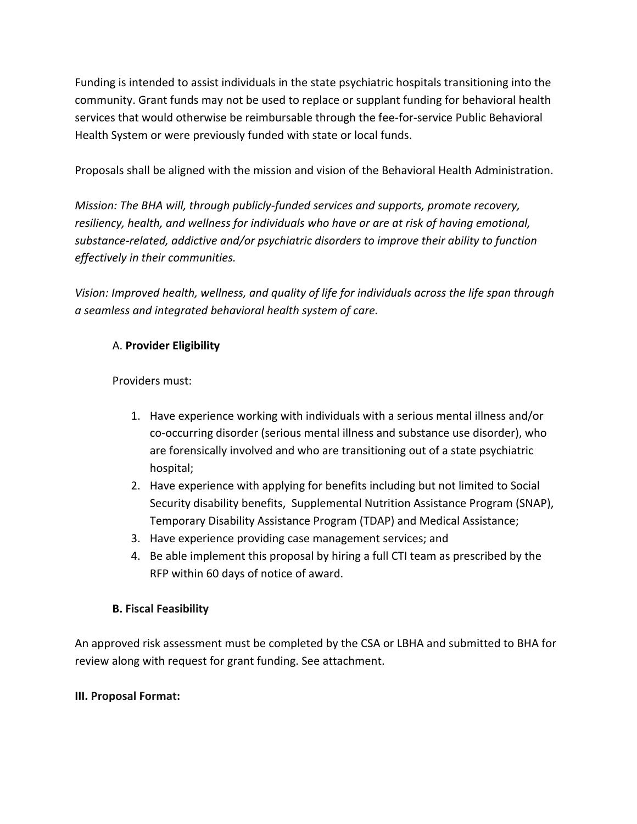Funding is intended to assist individuals in the state psychiatric hospitals transitioning into the community. Grant funds may not be used to replace or supplant funding for behavioral health services that would otherwise be reimbursable through the fee-for-service Public Behavioral Health System or were previously funded with state or local funds.

Proposals shall be aligned with the mission and vision of the Behavioral Health Administration.

*Mission: The BHA will, through publicly-funded services and supports, promote recovery, resiliency, health, and wellness for individuals who have or are at risk of having emotional, substance-related, addictive and/or psychiatric disorders to improve their ability to function effectively in their communities.*

*Vision: Improved health, wellness, and quality of life for individuals across the life span through a seamless and integrated behavioral health system of care.*

### A. **Provider Eligibility**

Providers must:

- 1. Have experience working with individuals with a serious mental illness and/or co-occurring disorder (serious mental illness and substance use disorder), who are forensically involved and who are transitioning out of a state psychiatric hospital;
- 2. Have experience with applying for benefits including but not limited to Social Security disability benefits, Supplemental Nutrition Assistance Program (SNAP), Temporary Disability Assistance Program (TDAP) and Medical Assistance;
- 3. Have experience providing case management services; and
- 4. Be able implement this proposal by hiring a full CTI team as prescribed by the RFP within 60 days of notice of award.

### **B. Fiscal Feasibility**

An approved risk assessment must be completed by the CSA or LBHA and submitted to BHA for review along with request for grant funding. See attachment.

### **III. Proposal Format:**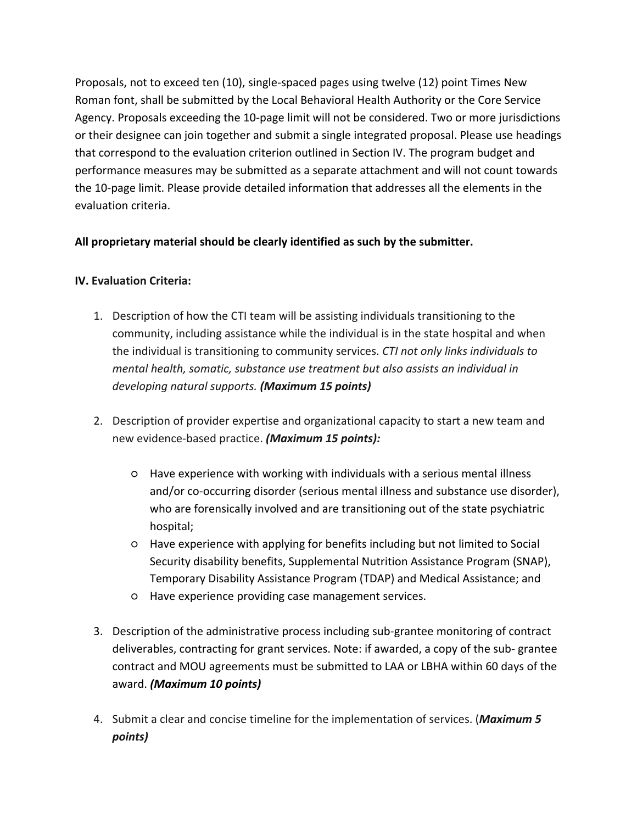Proposals, not to exceed ten (10), single-spaced pages using twelve (12) point Times New Roman font, shall be submitted by the Local Behavioral Health Authority or the Core Service Agency. Proposals exceeding the 10-page limit will not be considered. Two or more jurisdictions or their designee can join together and submit a single integrated proposal. Please use headings that correspond to the evaluation criterion outlined in Section IV. The program budget and performance measures may be submitted as a separate attachment and will not count towards the 10-page limit. Please provide detailed information that addresses all the elements in the evaluation criteria.

# **All proprietary material should be clearly identified as such by the submitter.**

# **IV. Evaluation Criteria:**

- 1. Description of how the CTI team will be assisting individuals transitioning to the community, including assistance while the individual is in the state hospital and when the individual is transitioning to community services. *CTI not only links individuals to mental health, somatic, substance use treatment but also assists an individual in developing natural supports. (Maximum 15 points)*
- 2. Description of provider expertise and organizational capacity to start a new team and new evidence-based practice. *(Maximum 15 points):*
	- Have experience with working with individuals with a serious mental illness and/or co-occurring disorder (serious mental illness and substance use disorder), who are forensically involved and are transitioning out of the state psychiatric hospital;
	- Have experience with applying for benefits including but not limited to Social Security disability benefits, Supplemental Nutrition Assistance Program (SNAP), Temporary Disability Assistance Program (TDAP) and Medical Assistance; and
	- Have experience providing case management services.
- 3. Description of the administrative process including sub-grantee monitoring of contract deliverables, contracting for grant services. Note: if awarded, a copy of the sub- grantee contract and MOU agreements must be submitted to LAA or LBHA within 60 days of the award. *(Maximum 10 points)*
- 4. Submit a clear and concise timeline for the implementation of services. (*Maximum 5 points)*